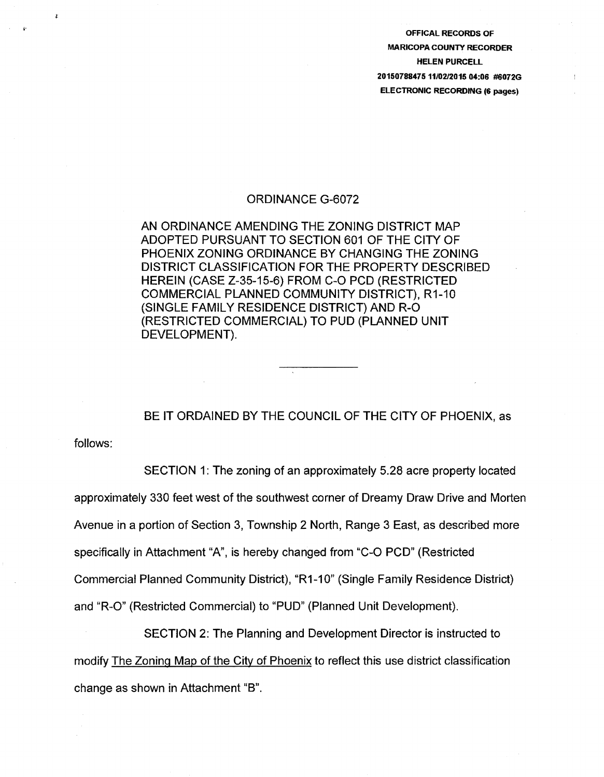OFFICAl RECORDS OF MARICOPA COUNTY RECORDER HElEN PURCEll 20150788475 11/0212015 04:06 #6072G ElECTRONIC RECORDING (6 pages)

## ORDINANCE G-6072

AN ORDINANCE AMENDING THE ZONING DISTRICT MAP ADOPTED PURSUANT TO SECTION 601 OF THE CITY OF PHOENIX ZONING ORDINANCE BY CHANGING THE ZONING DISTRICT CLASSIFICATION FOR THE PROPERTY DESCRIBED HEREIN (CASE Z-35-15-6) FROM C-0 PCD (RESTRICTED COMMERCIAL PLANNED COMMUNITY DISTRICT}, R1-10 (SINGLE FAMILY RESIDENCE DISTRICT} AND R-0 (RESTRICTED COMMERCIAL} TO PUD (PLANNED UNIT DEVELOPMENT).

BE IT ORDAINED BY THE COUNCIL OF THE CITY OF PHOENIX, as

follows:

SECTION 1: The zoning of an approximately 5.28 acre property located approximately 330 feet west of the southwest corner of Dreamy Draw Drive and Morten Avenue in a portion of Section 3, Township 2 North, Range 3 East, as described more specifically in Attachment "A", is hereby changed from "C-0 PCD" (Restricted Commercial Planned Community District}, "R1-10" (Single Family Residence District} and "R-0" (Restricted Commercial) to "PUD" (Planned Unit Development).

SECTION 2: The Planning and Development Director is instructed to modify The Zoning Map of the City of Phoenix to reflect this use district classification change as shown in Attachment "B".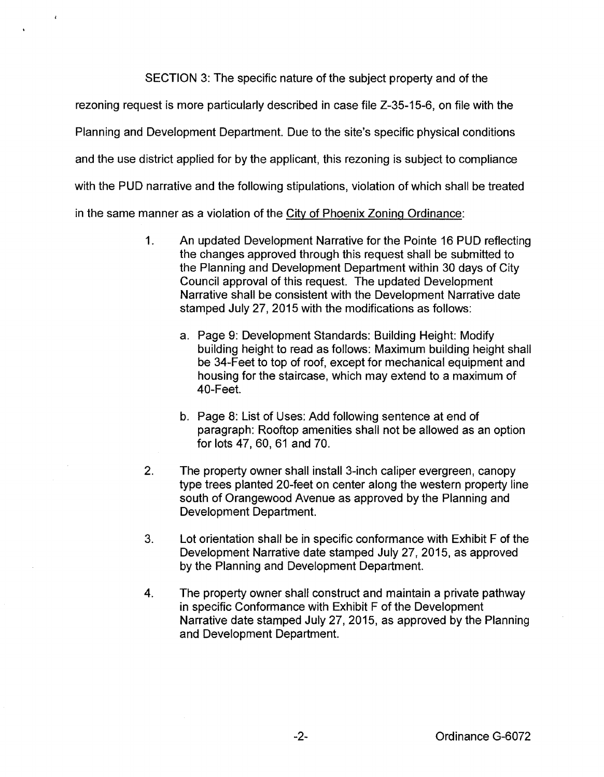SECTION 3: The specific nature of the subject property and of the

rezoning request is more particularly described in case file Z-35-15-6, on file with the

Planning and Development Department. Due to the site's specific physical conditions

and the use district applied for by the applicant, this rezoning is subject to compliance

with the PUD narrative and the following stipulations, violation of which shall be treated

in the same manner as a violation of the City of Phoenix Zoning Ordinance:

 $\lambda$ 

- 1. An updated Development Narrative for the Pointe 16 PUD reflecting the changes approved through this request shall be submitted to the Planning and Development Department within 30 days of City Council approval of this request. The updated Development Narrative shall be consistent with the Development Narrative date stamped July 27, 2015 with the modifications as follows:
	- a. Page 9: Development Standards: Building Height: Modify building height to read as follows: Maximum building height shall be 34-Feet to top of roof, except for mechanical equipment and housing for the staircase, which may extend to a maximum of 40-Feet.
	- b. Page 8: List of Uses: Add following sentence at end of paragraph: Rooftop amenities shall not be allowed as an option for lots 47, 60, 61 and 70.
- 2. The property owner shall install 3-inch caliper evergreen, canopy type trees planted 20-feet on center along the western property line south of Orangewood Avenue as approved by the Planning and Development Department.
- 3. Lot orientation shall be in specific conformance with Exhibit F of the Development Narrative date stamped July 27, 2015, as approved by the Planning and Development Department.
- 4. The property owner shall construct and maintain a private pathway in specific Conformance with Exhibit F of the Development Narrative date stamped July 27, 2015, as approved by the Planning and Development Department.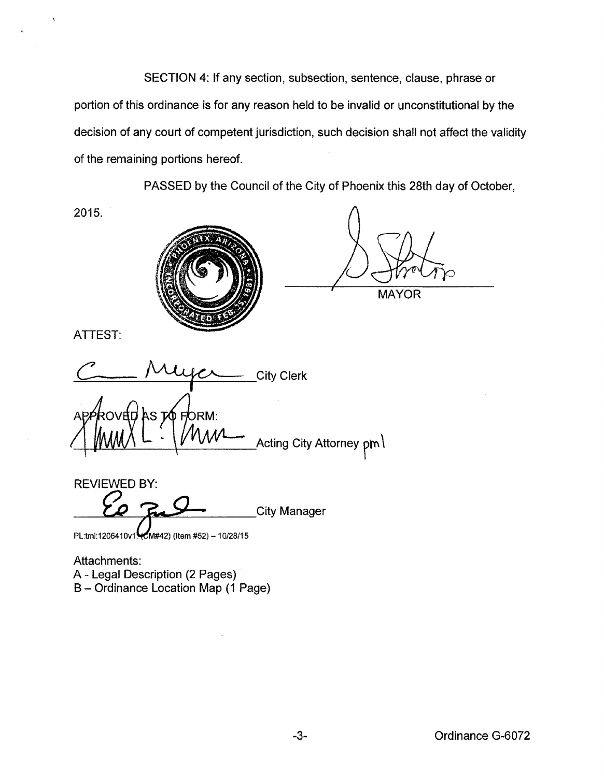SECTION 4: If any section, subsection, sentence, clause, phrase or portion of this ordinance is for any reason held to be invalid or unconstitutional by the decision of any court of competent jurisdiction, such decision shall not affect the validity of the remaining portions hereof.

PASSED by the Council of the City of Phoenix this 28th day of October,

2015.



**MAYOR** 

ATTEST:

**City Clerk** AS TO FORM: dbvos Acting City Attorney pm \

REVIEWED BY: **City Manager** 

PL:tml:1206410v1. (M#42) (Item #52) - 10/28/15

Attachments: A- Legal Description (2 Pages) B- Ordinance Location Map (1 Page)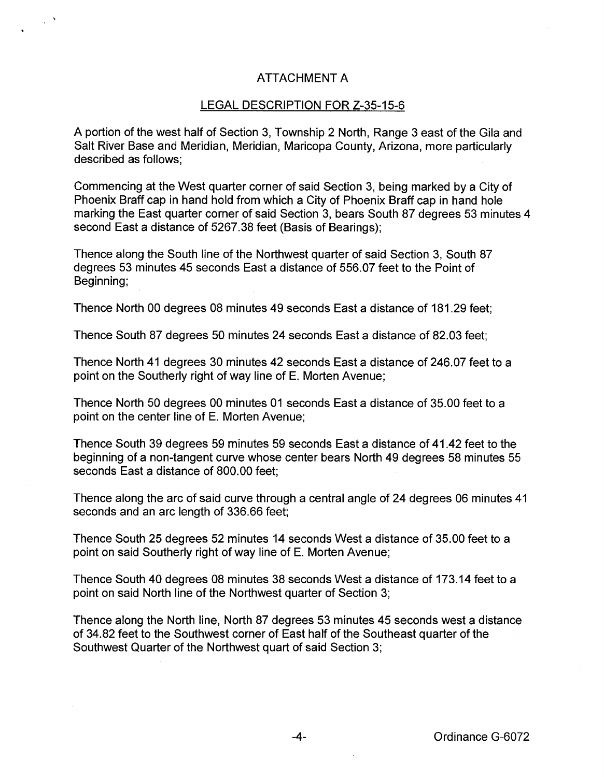## ATTACHMENT A

## LEGAL DESCRIPTION FOR Z-35-15-6

A portion of the west half of Section 3, Township 2 North, Range 3 east of the Gila and Salt River Base and Meridian, Meridian, Maricopa County, Arizona, more particularly described as follows;

Commencing at the West quarter corner of said Section 3, being marked by a City of Phoenix Braff cap in hand hold from which a City of Phoenix Braff cap in hand hole marking the East quarter corner of said Section 3, bears South 87 degrees 53 minutes 4 second East a distance of 5267.38 feet (Basis of Bearings);

Thence along the South line of the Northwest quarter of said Section 3, South 87 degrees 53 minutes 45 seconds East a distance of 556.07 feet to the Point of Beginning;

Thence North 00 degrees 08 minutes 49 seconds East a distance of 181.29 feet;

Thence South 87 degrees 50 minutes 24 seconds East a distance of 82.03 feet;

Thence North 41 degrees 30 minutes 42 seconds East a distance of 246.07 feet to a point on the Southerly right of way line of E. Morten Avenue;

Thence North 50 degrees 00 minutes 01 seconds East a distance of 35.00 feet to a point on the center line of E. Morten Avenue;

Thence South 39 degrees 59 minutes 59 seconds East a distance of 41.42 feet to the beginning of a non-tangent curve whose center bears North 49 degrees 58 minutes 55 seconds East a distance of 800.00 feet;

Thence along the arc of said curve through a central angle of 24 degrees 06 minutes 41 seconds and an arc length of 336.66 feet;

Thence South 25 degrees 52 minutes 14 seconds West a distance of 35.00 feet to a point on said Southerly right of way line of E. Morten Avenue;

Thence South 40 degrees 08 minutes 38 seconds West a distance of 173.14 feet to a point on said North line of the Northwest quarter of Section 3;

Thence along the North line, North 87 degrees 53 minutes 45 seconds west a distance of 34.82 feet to the Southwest corner of East half of the Southeast quarter of the Southwest Quarter of the Northwest quart of said Section 3;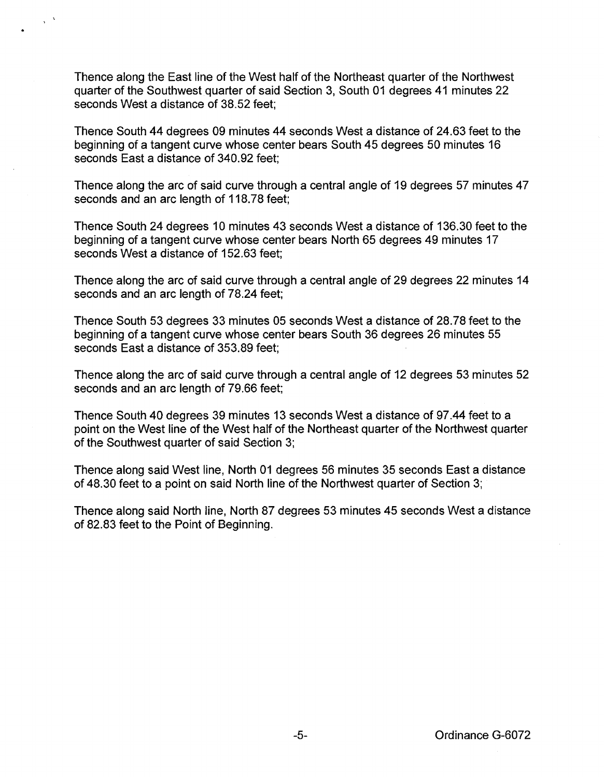Thence along the East line of the West half of the Northeast quarter of the Northwest quarter of the Southwest quarter of said Section 3, South 01 degrees 41 minutes 22 seconds West a distance of 38.52 feet;

Thence South 44 degrees 09 minutes 44 seconds West a distance of 24.63 feet to the beginning of a tangent curve whose center bears South 45 degrees 50 minutes 16 seconds East a distance of 340.92 feet;

Thence along the arc of said curve through a central angle of 19 degrees 57 minutes 47 seconds and an arc length of 118.78 feet;

Thence South 24 degrees 10 minutes 43 seconds West a distance of 136.30 feet to the beginning of a tangent curve whose center bears North 65 degrees 49 minutes 17 seconds West a distance of 152.63 feet;

Thence along the arc of said curve through a central angle of 29 degrees 22 minutes 14 seconds and an arc length of 78.24 feet;

Thence South 53 degrees 33 minutes 05 seconds West a distance of 28.78 feet to the beginning of a tangent curve whose center bears South 36 degrees 26 minutes 55 seconds East a distance of 353.89 feet;

Thence along the arc of said curve through a central angle of 12 degrees 53 minutes 52 seconds and an arc length of 79.66 feet;

Thence South 40 degrees 39 minutes 13 seconds West a distance of 97.44 feet to a point on the West line of the West half of the Northeast quarter of the Northwest quarter of the Southwest quarter of said Section 3;

Thence along said West line, North 01 degrees 56 minutes 35 seconds East a distance of 48.30 feet to a point on said North line of the Northwest quarter of Section 3;

Thence along said North line, North 87 degrees 53 minutes 45 seconds West a distance of 82.83 feet to the Point of Beginning.